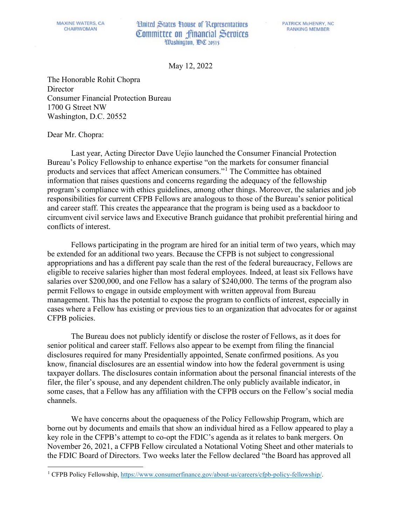## **Hnited States House of Representatives** Committee on financial Services Washington, DC 20515

May 12, 2 May 12, 2022

The Honorable Rohit Chopra **Director** Consumer Financial Protection Bureau 1700 G Street NW Washington, D.C. 20552

## Dear Mr. Chopra:

Last year, Acting Director Dave Uejio launched the Consumer Financial Protection Bureau's Policy Fellowship to enhance expertise "on the markets for consumer financial products and services that affect American consumers."[1](#page-0-0) The Committee has obtained information that raises questions and concerns regarding the adequacy of the fellowship program's compliance with ethics guidelines, among other things. Moreover, the salaries and job responsibilities for current CFPB Fellows are analogous to those of the Bureau's senior political and career staff. This creates the appearance that the program is being used as a backdoor to circumvent civil service laws and Executive Branch guidance that prohibit preferential hiring and conflicts of interest.

Fellows participating in the program are hired for an initial term of two years, which may be extended for an additional two years. Because the CFPB is not subject to congressional appropriations and has a different pay scale than the rest of the federal bureaucracy, Fellows are eligible to receive salaries higher than most federal employees. Indeed, at least six Fellows have salaries over \$200,000, and one Fellow has a salary of \$240,000. The terms of the program also permit Fellows to engage in outside employment with written approval from Bureau management. This has the potential to expose the program to conflicts of interest, especially in cases where a Fellow has existing or previous ties to an organization that advocates for or against CFPB policies.

The Bureau does not publicly identify or disclose the roster of Fellows, as it does for senior political and career staff. Fellows also appear to be exempt from filing the financial disclosures required for many Presidentially appointed, Senate confirmed positions. As you know, financial disclosures are an essential window into how the federal government is using taxpayer dollars. The disclosures contain information about the personal financial interests of the filer, the filer's spouse, and any dependent children. The only publicly available indicator, in some cases, that a Fellow has any affiliation with the CFPB occurs on the Fellow's social media channels.

We have concerns about the opaqueness of the Policy Fellowship Program, which are borne out by documents and emails that show an individual hired as a Fellow appeared to play a key role in the CFPB's attempt to co-opt the FDIC's agenda as it relates to bank mergers. On November 26, 2021, a CFPB Fellow circulated a Notational Voting Sheet and other materials to the FDIC Board of Directors. Two weeks later the Fellow declared "the Board has approved all

<span id="page-0-0"></span><sup>1</sup> CFPB Policy Fellowship, [https://www.consumerfinance.gov/about-us/careers/cfpb-policy-fellowship/.](https://www.consumerfinance.gov/about-us/careers/cfpb-policy-fellowship/)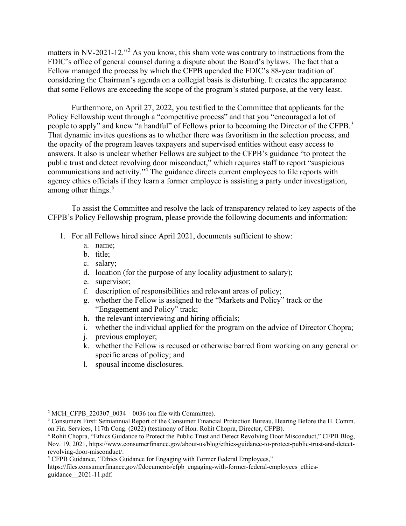matters in NV-2021-12."[2](#page-1-0) As you know, this sham vote was contrary to instructions from the FDIC's office of general counsel during a dispute about the Board's bylaws. The fact that a Fellow managed the process by which the CFPB upended the FDIC's 88-year tradition of considering the Chairman's agenda on a collegial basis is disturbing. It creates the appearance that some Fellows are exceeding the scope of the program's stated purpose, at the very least.

Furthermore, on April 27, 2022, you testified to the Committee that applicants for the Policy Fellowship went through a "competitive process" and that you "encouraged a lot of people to apply" and knew "a handful" of Fellows prior to becoming the Director of the CFPB.<sup>[3](#page-1-1)</sup> That dynamic invites questions as to whether there was favoritism in the selection process, and the opacity of the program leaves taxpayers and supervised entities without easy access to answers. It also is unclear whether Fellows are subject to the CFPB's guidance "to protect the public trust and detect revolving door misconduct," which requires staff to report "suspicious communications and activity."[4](#page-1-2) The guidance directs current employees to file reports with agency ethics officials if they learn a former employee is assisting a party under investigation, among other things. [5](#page-1-3)

To assist the Committee and resolve the lack of transparency related to key aspects of the CFPB's Policy Fellowship program, please provide the following documents and information:

- 1. For all Fellows hired since April 2021, documents sufficient to show:
	- a. name;
	- b. title;
	- c. salary;
	- d. location (for the purpose of any locality adjustment to salary);
	- e. supervisor;
	- f. description of responsibilities and relevant areas of policy;
	- g. whether the Fellow is assigned to the "Markets and Policy" track or the "Engagement and Policy" track;
	- h. the relevant interviewing and hiring officials;
	- i. whether the individual applied for the program on the advice of Director Chopra;
	- j. previous employer;
	- k. whether the Fellow is recused or otherwise barred from working on any general or specific areas of policy; and
	- l. spousal income disclosures.

<span id="page-1-1"></span><span id="page-1-0"></span><sup>&</sup>lt;sup>2</sup> MCH\_CFPB\_220307\_0034 – 0036 (on file with Committee).<br><sup>3</sup> Consumers First: Semiannual Report of the Consumer Financial Protection Bureau, Hearing Before the H. Comm. on Fin. Services, 117th Cong. (2022) (testimony of Hon. Rohit Chopra, Director, CFPB).

<span id="page-1-2"></span><sup>4</sup> Rohit Chopra, "Ethics Guidance to Protect the Public Trust and Detect Revolving Door Misconduct," CFPB Blog, Nov. 19, 2021, https://www.consumerfinance.gov/about-us/blog/ethics-guidance-to-protect-public-trust-and-detectrevolving-door-misconduct/.<br><sup>5</sup> CFPB Guidance, "Ethics Guidance for Engaging with Former Federal Employees,"

<span id="page-1-3"></span>https://files.consumerfinance.gov/f/documents/cfpb\_engaging-with-former-federal-employees\_ethicsguidance\_\_2021-11.pdf.